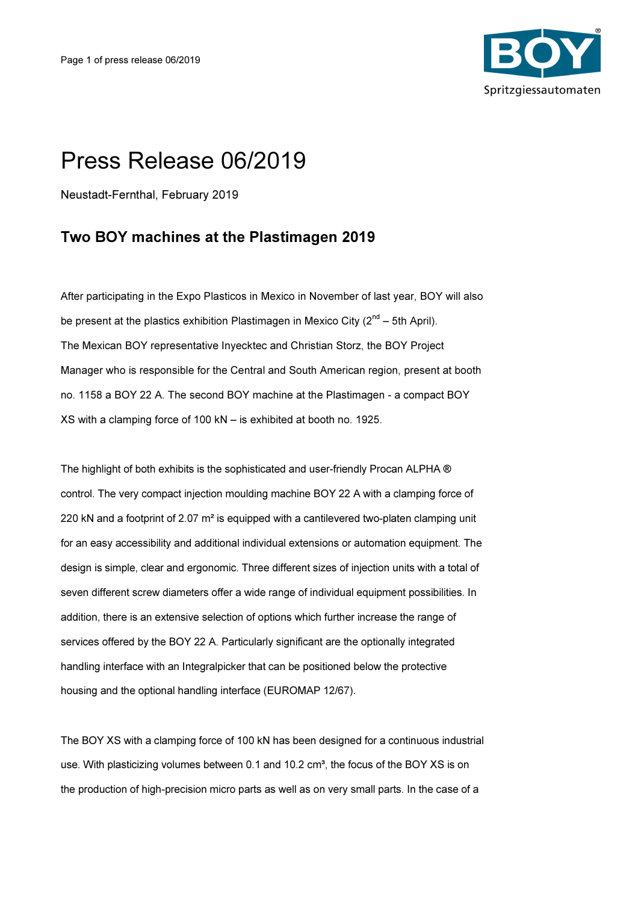

## Press Release 06/2019

Neustadt-Fernthal, February 2019

## Two BOY machines at the Plastimagen 2019

After participating in the Expo Plasticos in Mexico in November of last year, BOY will also be present at the plastics exhibition Plastimagen in Mexico City  $(2^{nd} - 5th$  April). The Mexican BOY representative Inyecktec and Christian Storz, the BOY Project Manager who is responsible for the Central and South American region, present at booth no. 1158 a BOY 22 A. The second BOY machine at the Plastimagen - a compact BOY XS with a clamping force of 100 kN – is exhibited at booth no. 1925.

The highlight of both exhibits is the sophisticated and user-friendly Procan ALPHA ® control. The very compact injection moulding machine BOY 22 A with a clamping force of 220 kN and a footprint of 2.07 m<sup>2</sup> is equipped with a cantilevered two-platen clamping unit for an easy accessibility and additional individual extensions or automation equipment. The design is simple, clear and ergonomic. Three different sizes of injection units with a total of seven different screw diameters offer a wide range of individual equipment possibilities. In addition, there is an extensive selection of options which further increase the range of services offered by the BOY 22 A. Particularly significant are the optionally integrated handling interface with an Integralpicker that can be positioned below the protective housing and the optional handling interface (EUROMAP 12/67).

The BOY XS with a clamping force of 100 kN has been designed for a continuous industrial use. With plasticizing volumes between 0.1 and 10.2  $cm<sup>3</sup>$ , the focus of the BOY XS is on the production of high-precision micro parts as well as on very small parts. In the case of a